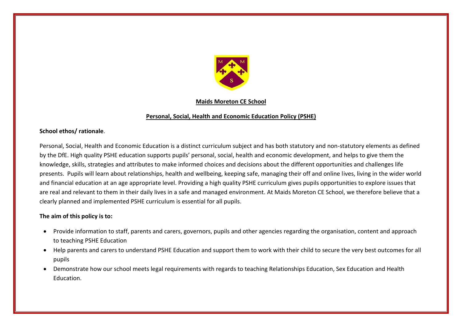

## **Maids Moreton CE School**

# **Personal, Social, Health and Economic Education Policy (PSHE)**

### **School ethos/ rationale**.

Personal, Social, Health and Economic Education is a distinct curriculum subject and has both statutory and non-statutory elements as defined by the DfE. High quality PSHE education supports pupils' personal, social, health and economic development, and helps to give them the knowledge, skills, strategies and attributes to make informed choices and decisions about the different opportunities and challenges life presents. Pupils will learn about relationships, health and wellbeing, keeping safe, managing their off and online lives, living in the wider world and financial education at an age appropriate level. Providing a high quality PSHE curriculum gives pupils opportunities to explore issues that are real and relevant to them in their daily lives in a safe and managed environment. At Maids Moreton CE School, we therefore believe that a clearly planned and implemented PSHE curriculum is essential for all pupils.

### **The aim of this policy is to:**

- Provide information to staff, parents and carers, governors, pupils and other agencies regarding the organisation, content and approach to teaching PSHE Education
- Help parents and carers to understand PSHE Education and support them to work with their child to secure the very best outcomes for all pupils
- Demonstrate how our school meets legal requirements with regards to teaching Relationships Education, Sex Education and Health Education.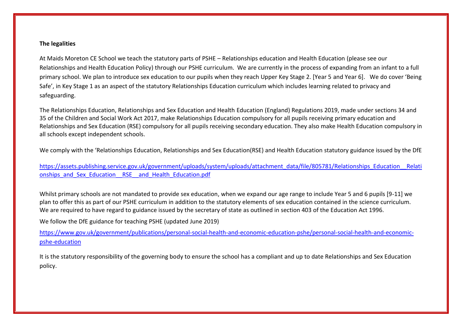#### **The legalities**

At Maids Moreton CE School we teach the statutory parts of PSHE – Relationships education and Health Education (please see our Relationships and Health Education Policy) through our PSHE curriculum. We are currently in the process of expanding from an infant to a full primary school. We plan to introduce sex education to our pupils when they reach Upper Key Stage 2. [Year 5 and Year 6]. We do cover 'Being Safe', in Key Stage 1 as an aspect of the statutory Relationships Education curriculum which includes learning related to privacy and safeguarding.

The Relationships Education, Relationships and Sex Education and Health Education (England) Regulations 2019, made under sections 34 and 35 of the Children and Social Work Act 2017, make Relationships Education compulsory for all pupils receiving primary education and Relationships and Sex Education (RSE) compulsory for all pupils receiving secondary education. They also make Health Education compulsory in all schools except independent schools.

We comply with the 'Relationships Education, Relationships and Sex Education(RSE) and Health Education statutory guidance issued by the DfE

[https://assets.publishing.service.gov.uk/government/uploads/system/uploads/attachment\\_data/file/805781/Relationships\\_Education\\_\\_Relati](https://assets.publishing.service.gov.uk/government/uploads/system/uploads/attachment_data/file/805781/Relationships_Education__Relationships_and_Sex_Education__RSE__and_Health_Education.pdf) [onships\\_and\\_Sex\\_Education\\_\\_RSE\\_\\_and\\_Health\\_Education.pdf](https://assets.publishing.service.gov.uk/government/uploads/system/uploads/attachment_data/file/805781/Relationships_Education__Relationships_and_Sex_Education__RSE__and_Health_Education.pdf)

Whilst primary schools are not mandated to provide sex education, when we expand our age range to include Year 5 and 6 pupils [9-11] we plan to offer this as part of our PSHE curriculum in addition to the statutory elements of sex education contained in the science curriculum. We are required to have regard to guidance issued by the secretary of state as outlined in section 403 of the Education Act 1996.

We follow the DfE guidance for teaching PSHE (updated June 2019)

[https://www.gov.uk/government/publications/personal-social-health-and-economic-education-pshe/personal-social-health-and-economic](https://www.gov.uk/government/publications/personal-social-health-and-economic-education-pshe/personal-social-health-and-economic-pshe-education)[pshe-education](https://www.gov.uk/government/publications/personal-social-health-and-economic-education-pshe/personal-social-health-and-economic-pshe-education)

It is the statutory responsibility of the governing body to ensure the school has a compliant and up to date Relationships and Sex Education policy.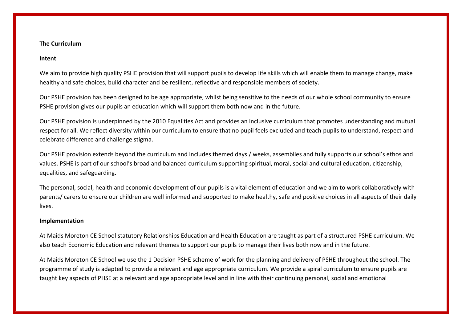#### **The Curriculum**

#### **Intent**

We aim to provide high quality PSHE provision that will support pupils to develop life skills which will enable them to manage change, make healthy and safe choices, build character and be resilient, reflective and responsible members of society.

Our PSHE provision has been designed to be age appropriate, whilst being sensitive to the needs of our whole school community to ensure PSHE provision gives our pupils an education which will support them both now and in the future.

Our PSHE provision is underpinned by the 2010 Equalities Act and provides an inclusive curriculum that promotes understanding and mutual respect for all. We reflect diversity within our curriculum to ensure that no pupil feels excluded and teach pupils to understand, respect and celebrate difference and challenge stigma.

Our PSHE provision extends beyond the curriculum and includes themed days / weeks, assemblies and fully supports our school's ethos and values. PSHE is part of our school's broad and balanced curriculum supporting spiritual, moral, social and cultural education, citizenship, equalities, and safeguarding.

The personal, social, health and economic development of our pupils is a vital element of education and we aim to work collaboratively with parents/ carers to ensure our children are well informed and supported to make healthy, safe and positive choices in all aspects of their daily lives.

## **Implementation**

At Maids Moreton CE School statutory Relationships Education and Health Education are taught as part of a structured PSHE curriculum. We also teach Economic Education and relevant themes to support our pupils to manage their lives both now and in the future.

At Maids Moreton CE School we use the 1 Decision PSHE scheme of work for the planning and delivery of PSHE throughout the school. The programme of study is adapted to provide a relevant and age appropriate curriculum. We provide a spiral curriculum to ensure pupils are taught key aspects of PHSE at a relevant and age appropriate level and in line with their continuing personal, social and emotional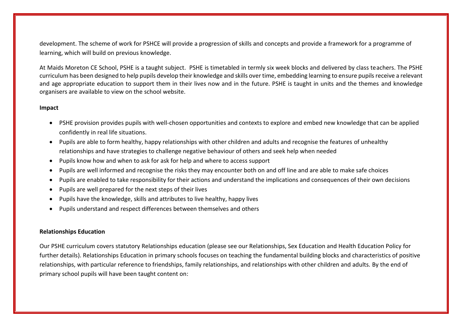development. The scheme of work for PSHCE will provide a progression of skills and concepts and provide a framework for a programme of learning, which will build on previous knowledge.

At Maids Moreton CE School, PSHE is a taught subject. PSHE is timetabled in termly six week blocks and delivered by class teachers. The PSHE curriculum has been designed to help pupils develop their knowledge and skills over time, embedding learning to ensure pupils receive a relevant and age appropriate education to support them in their lives now and in the future. PSHE is taught in units and the themes and knowledge organisers are available to view on the school website.

#### **Impact**

- PSHE provision provides pupils with well-chosen opportunities and contexts to explore and embed new knowledge that can be applied confidently in real life situations.
- Pupils are able to form healthy, happy relationships with other children and adults and recognise the features of unhealthy relationships and have strategies to challenge negative behaviour of others and seek help when needed
- Pupils know how and when to ask for ask for help and where to access support
- Pupils are well informed and recognise the risks they may encounter both on and off line and are able to make safe choices
- Pupils are enabled to take responsibility for their actions and understand the implications and consequences of their own decisions
- Pupils are well prepared for the next steps of their lives
- Pupils have the knowledge, skills and attributes to live healthy, happy lives
- Pupils understand and respect differences between themselves and others

### **Relationships Education**

Our PSHE curriculum covers statutory Relationships education (please see our Relationships, Sex Education and Health Education Policy for further details). Relationships Education in primary schools focuses on teaching the fundamental building blocks and characteristics of positive relationships, with particular reference to friendships, family relationships, and relationships with other children and adults. By the end of primary school pupils will have been taught content on: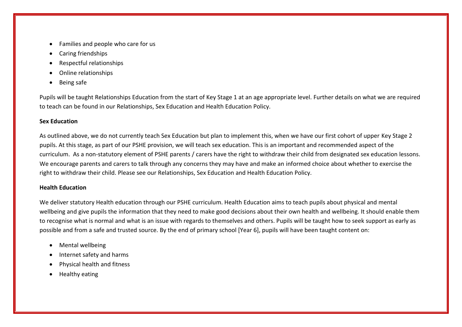- Families and people who care for us
- Caring friendships
- Respectful relationships
- Online relationships
- Being safe

Pupils will be taught Relationships Education from the start of Key Stage 1 at an age appropriate level. Further details on what we are required to teach can be found in our Relationships, Sex Education and Health Education Policy.

# **Sex Education**

As outlined above, we do not currently teach Sex Education but plan to implement this, when we have our first cohort of upper Key Stage 2 pupils. At this stage, as part of our PSHE provision, we will teach sex education. This is an important and recommended aspect of the curriculum. As a non-statutory element of PSHE parents / carers have the right to withdraw their child from designated sex education lessons. We encourage parents and carers to talk through any concerns they may have and make an informed choice about whether to exercise the right to withdraw their child. Please see our Relationships, Sex Education and Health Education Policy.

# **Health Education**

We deliver statutory Health education through our PSHE curriculum. Health Education aims to teach pupils about physical and mental wellbeing and give pupils the information that they need to make good decisions about their own health and wellbeing. It should enable them to recognise what is normal and what is an issue with regards to themselves and others. Pupils will be taught how to seek support as early as possible and from a safe and trusted source. By the end of primary school [Year 6], pupils will have been taught content on:

- Mental wellbeing
- Internet safety and harms
- Physical health and fitness
- Healthy eating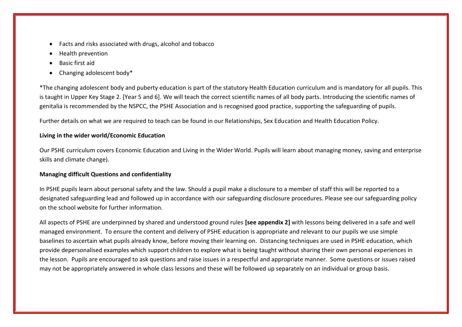- Facts and risks associated with drugs, alcohol and tobacco
- Health prevention
- Basic first aid
- Changing adolescent body\*

\*The changing adolescent body and puberty education is part of the statutory Health Education curriculum and is mandatory for all pupils. This is taught in Upper Key Stage 2. [Year 5 and 6]. We will teach the correct scientific names of all body parts. Introducing the scientific names of genitalia is recommended by the NSPCC, the PSHE Association and is recognised good practice, supporting the safeguarding of pupils.

Further details on what we are required to teach can be found in our Relationships, Sex Education and Health Education Policy.

# **Living in the wider world/Economic Education**

Our PSHE curriculum covers Economic Education and Living in the Wider World. Pupils will learn about managing money, saving and enterprise skills and climate change).

# **Managing difficult Questions and confidentiality**

In PSHE pupils learn about personal safety and the law. Should a pupil make a disclosure to a member of staff this will be reported to a designated safeguarding lead and followed up in accordance with our safeguarding disclosure procedures. Please see our safeguarding policy on the school website for further information.

All aspects of PSHE are underpinned by shared and understood ground rules **[see appendix 2]** with lessons being delivered in a safe and well managed environment. To ensure the content and delivery of PSHE education is appropriate and relevant to our pupils we use simple baselines to ascertain what pupils already know, before moving their learning on. Distancing techniques are used in PSHE education, which provide depersonalised examples which support children to explore what is being taught without sharing their own personal experiences in the lesson. Pupils are encouraged to ask questions and raise issues in a respectful and appropriate manner. Some questions or issues raised may not be appropriately answered in whole class lessons and these will be followed up separately on an individual or group basis.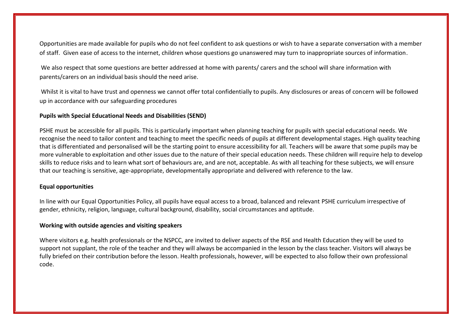Opportunities are made available for pupils who do not feel confident to ask questions or wish to have a separate conversation with a member of staff. Given ease of access to the internet, children whose questions go unanswered may turn to inappropriate sources of information.

We also respect that some questions are better addressed at home with parents/ carers and the school will share information with parents/carers on an individual basis should the need arise.

Whilst it is vital to have trust and openness we cannot offer total confidentially to pupils. Any disclosures or areas of concern will be followed up in accordance with our safeguarding procedures

#### **Pupils with Special Educational Needs and Disabilities (SEND)**

PSHE must be accessible for all pupils. This is particularly important when planning teaching for pupils with special educational needs. We recognise the need to tailor content and teaching to meet the specific needs of pupils at different developmental stages. High quality teaching that is differentiated and personalised will be the starting point to ensure accessibility for all. Teachers will be aware that some pupils may be more vulnerable to exploitation and other issues due to the nature of their special education needs. These children will require help to develop skills to reduce risks and to learn what sort of behaviours are, and are not, acceptable. As with all teaching for these subjects, we will ensure that our teaching is sensitive, age-appropriate, developmentally appropriate and delivered with reference to the law.

#### **Equal opportunities**

In line with our Equal Opportunities Policy, all pupils have equal access to a broad, balanced and relevant PSHE curriculum irrespective of gender, ethnicity, religion, language, cultural background, disability, social circumstances and aptitude.

#### **Working with outside agencies and visiting speakers**

Where visitors e.g. health professionals or the NSPCC, are invited to deliver aspects of the RSE and Health Education they will be used to support not supplant, the role of the teacher and they will always be accompanied in the lesson by the class teacher. Visitors will always be fully briefed on their contribution before the lesson. Health professionals, however, will be expected to also follow their own professional code.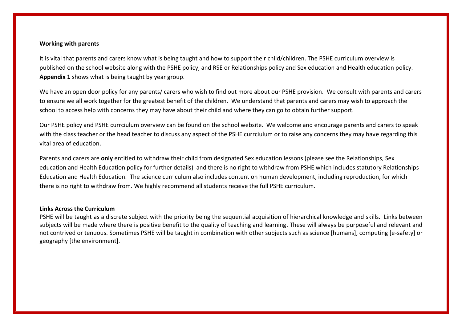#### **Working with parents**

It is vital that parents and carers know what is being taught and how to support their child/children. The PSHE curriculum overview is published on the school website along with the PSHE policy, and RSE or Relationships policy and Sex education and Health education policy. **Appendix 1** shows what is being taught by year group.

We have an open door policy for any parents/ carers who wish to find out more about our PSHE provision. We consult with parents and carers to ensure we all work together for the greatest benefit of the children. We understand that parents and carers may wish to approach the school to access help with concerns they may have about their child and where they can go to obtain further support.

Our PSHE policy and PSHE currciulum overview can be found on the school website. We welcome and encourage parents and carers to speak with the class teacher or the head teacher to discuss any aspect of the PSHE currciulum or to raise any concerns they may have regarding this vital area of education.

Parents and carers are **only** entitled to withdraw their child from designated Sex education lessons (please see the Relationships, Sex education and Health Education policy for further details) and there is no right to withdraw from PSHE which includes statutory Relationships Education and Health Education. The science curriculum also includes content on human development, including reproduction, for which there is no right to withdraw from. We highly recommend all students receive the full PSHE curriculum.

#### **Links Across the Curriculum**

PSHE will be taught as a discrete subject with the priority being the sequential acquisition of hierarchical knowledge and skills. Links between subjects will be made where there is positive benefit to the quality of teaching and learning. These will always be purposeful and relevant and not contrived or tenuous. Sometimes PSHE will be taught in combination with other subjects such as science [humans], computing [e-safety] or geography [the environment].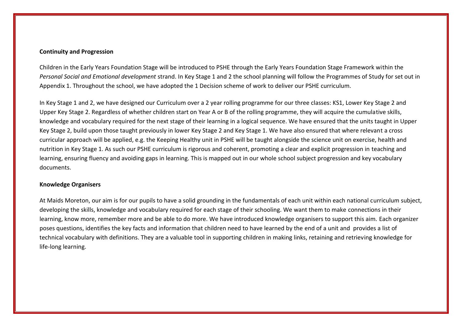#### **Continuity and Progression**

Children in the Early Years Foundation Stage will be introduced to PSHE through the Early Years Foundation Stage Framework within the *Personal Social and Emotional development* strand. In Key Stage 1 and 2 the school planning will follow the Programmes of Study for set out in Appendix 1. Throughout the school, we have adopted the 1 Decision scheme of work to deliver our PSHE curriculum.

In Key Stage 1 and 2, we have designed our Curriculum over a 2 year rolling programme for our three classes: KS1, Lower Key Stage 2 and Upper Key Stage 2. Regardless of whether children start on Year A or B of the rolling programme, they will acquire the cumulative skills, knowledge and vocabulary required for the next stage of their learning in a logical sequence. We have ensured that the units taught in Upper Key Stage 2, build upon those taught previously in lower Key Stage 2 and Key Stage 1. We have also ensured that where relevant a cross curricular approach will be applied, e.g. the Keeping Healthy unit in PSHE will be taught alongside the science unit on exercise, health and nutrition in Key Stage 1. As such our PSHE curriculum is rigorous and coherent, promoting a clear and explicit progression in teaching and learning, ensuring fluency and avoiding gaps in learning. This is mapped out in our whole school subject progression and key vocabulary documents.

#### **Knowledge Organisers**

At Maids Moreton, our aim is for our pupils to have a solid grounding in the fundamentals of each unit within each national curriculum subject, developing the skills, knowledge and vocabulary required for each stage of their schooling. We want them to make connections in their learning, know more, remember more and be able to do more. We have introduced knowledge organisers to support this aim. Each organizer poses questions, identifies the key facts and information that children need to have learned by the end of a unit and provides a list of technical vocabulary with definitions. They are a valuable tool in supporting children in making links, retaining and retrieving knowledge for life-long learning.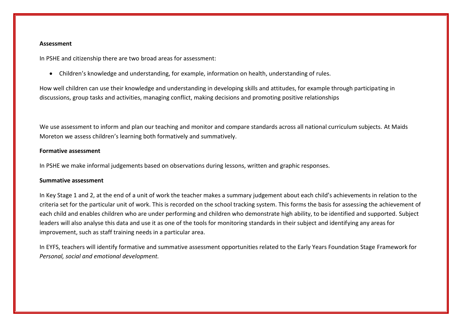#### **Assessment**

In PSHE and citizenship there are two broad areas for assessment:

Children's knowledge and understanding, for example, information on health, understanding of rules.

How well children can use their knowledge and understanding in developing skills and attitudes, for example through participating in discussions, group tasks and activities, managing conflict, making decisions and promoting positive relationships

We use assessment to inform and plan our teaching and monitor and compare standards across all national curriculum subjects. At Maids Moreton we assess children's learning both formatively and summatively.

### **Formative assessment**

In PSHE we make informal judgements based on observations during lessons, written and graphic responses.

### **Summative assessment**

In Key Stage 1 and 2, at the end of a unit of work the teacher makes a summary judgement about each child's achievements in relation to the criteria set for the particular unit of work. This is recorded on the school tracking system. This forms the basis for assessing the achievement of each child and enables children who are under performing and children who demonstrate high ability, to be identified and supported. Subject leaders will also analyse this data and use it as one of the tools for monitoring standards in their subject and identifying any areas for improvement, such as staff training needs in a particular area.

In EYFS, teachers will identify formative and summative assessment opportunities related to the Early Years Foundation Stage Framework for *Personal, social and emotional development.*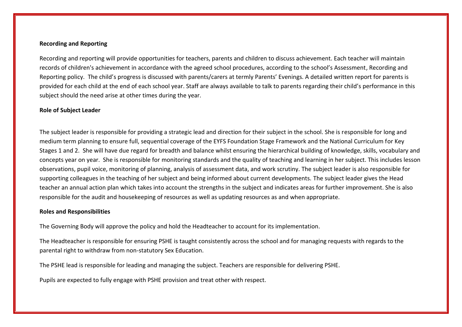#### **Recording and Reporting**

Recording and reporting will provide opportunities for teachers, parents and children to discuss achievement. Each teacher will maintain records of children's achievement in accordance with the agreed school procedures, according to the school's Assessment, Recording and Reporting policy. The child's progress is discussed with parents/carers at termly Parents' Evenings. A detailed written report for parents is provided for each child at the end of each school year. Staff are always available to talk to parents regarding their child's performance in this subject should the need arise at other times during the year.

#### **Role of Subject Leader**

The subject leader is responsible for providing a strategic lead and direction for their subject in the school. She is responsible for long and medium term planning to ensure full, sequential coverage of the EYFS Foundation Stage Framework and the National Curriculum for Key Stages 1 and 2. She will have due regard for breadth and balance whilst ensuring the hierarchical building of knowledge, skills, vocabulary and concepts year on year. She is responsible for monitoring standards and the quality of teaching and learning in her subject. This includes lesson observations, pupil voice, monitoring of planning, analysis of assessment data, and work scrutiny. The subject leader is also responsible for supporting colleagues in the teaching of her subject and being informed about current developments. The subject leader gives the Head teacher an annual action plan which takes into account the strengths in the subject and indicates areas for further improvement. She is also responsible for the audit and housekeeping of resources as well as updating resources as and when appropriate.

#### **Roles and Responsibilities**

The Governing Body will approve the policy and hold the Headteacher to account for its implementation.

The Headteacher is responsible for ensuring PSHE is taught consistently across the school and for managing requests with regards to the parental right to withdraw from non-statutory Sex Education.

The PSHE lead is responsible for leading and managing the subject. Teachers are responsible for delivering PSHE.

Pupils are expected to fully engage with PSHE provision and treat other with respect.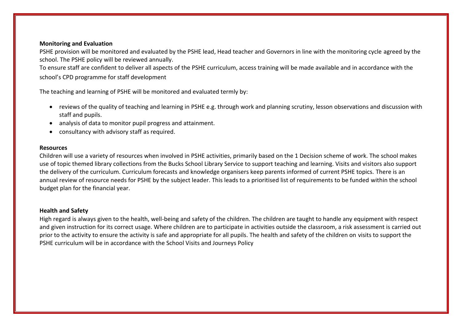#### **Monitoring and Evaluation**

PSHE provision will be monitored and evaluated by the PSHE lead, Head teacher and Governors in line with the monitoring cycle agreed by the school. The PSHE policy will be reviewed annually.

To ensure staff are confident to deliver all aspects of the PSHE curriculum, access training will be made available and in accordance with the school's CPD programme for staff development

The teaching and learning of PSHE will be monitored and evaluated termly by:

- reviews of the quality of teaching and learning in PSHE e.g. through work and planning scrutiny, lesson observations and discussion with staff and pupils.
- analysis of data to monitor pupil progress and attainment.
- consultancy with advisory staff as required.

## **Resources**

Children will use a variety of resources when involved in PSHE activities, primarily based on the 1 Decision scheme of work. The school makes use of topic themed library collections from the Bucks School Library Service to support teaching and learning. Visits and visitors also support the delivery of the curriculum. Curriculum forecasts and knowledge organisers keep parents informed of current PSHE topics. There is an annual review of resource needs for PSHE by the subject leader. This leads to a prioritised list of requirements to be funded within the school budget plan for the financial year.

# **Health and Safety**

High regard is always given to the health, well-being and safety of the children. The children are taught to handle any equipment with respect and given instruction for its correct usage. Where children are to participate in activities outside the classroom, a risk assessment is carried out prior to the activity to ensure the activity is safe and appropriate for all pupils. The health and safety of the children on visits to support the PSHE curriculum will be in accordance with the School Visits and Journeys Policy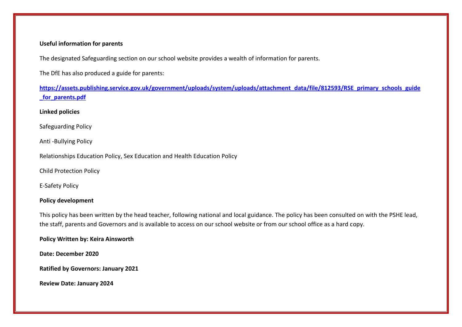## **Useful information for parents**

The designated Safeguarding section on our school website provides a wealth of information for parents.

The DfE has also produced a guide for parents:

**[https://assets.publishing.service.gov.uk/government/uploads/system/uploads/attachment\\_data/file/812593/RSE\\_primary\\_schools\\_guide](https://assets.publishing.service.gov.uk/government/uploads/system/uploads/attachment_data/file/812593/RSE_primary_schools_guide_for_parents.pdf) [\\_for\\_parents.pdf](https://assets.publishing.service.gov.uk/government/uploads/system/uploads/attachment_data/file/812593/RSE_primary_schools_guide_for_parents.pdf)**

## **Linked policies**

Safeguarding Policy

Anti -Bullying Policy

Relationships Education Policy, Sex Education and Health Education Policy

Child Protection Policy

E-Safety Policy

### **Policy development**

This policy has been written by the head teacher, following national and local guidance. The policy has been consulted on with the PSHE lead, the staff, parents and Governors and is available to access on our school website or from our school office as a hard copy.

**Policy Written by: Keira Ainsworth**

**Date: December 2020**

**Ratified by Governors: January 2021**

**Review Date: January 2024**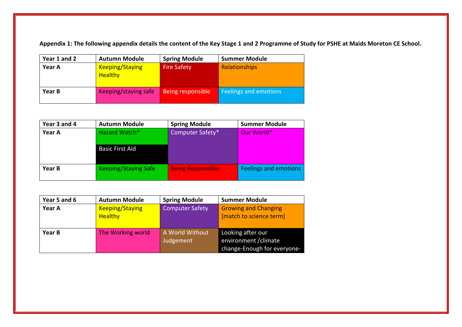**Appendix 1: The following appendix details the content of the Key Stage 1 and 2 Programme of Study for PSHE at Maids Moreton CE School.**

| Year 1 and 2 | <b>Autumn Module</b>                     | <b>Spring Module</b> | <b>Summer Module</b>  |
|--------------|------------------------------------------|----------------------|-----------------------|
| Year A       | <b>Keeping/Staying</b><br><b>Healthy</b> | <b>Fire Safety</b>   | <b>Relationships</b>  |
| Year B       | Keeping/staying safe                     | Being responsible    | Feelings and emotions |

| Year 3 and 4 | <b>Autumn Module</b>        | <b>Spring Module</b>     | <b>Summer Module</b>         |
|--------------|-----------------------------|--------------------------|------------------------------|
| Year A       | Hazard Watch*               | Computer Safety*         | Our World*                   |
|              | <b>Basic First Aid</b>      |                          |                              |
| Year B       | <b>Keeping/Staying Safe</b> | <b>Being Responsible</b> | <b>Feelings and emotions</b> |

| Year 5 and 6 | <b>Autumn Module</b>                     | <b>Spring Module</b>         | <b>Summer Module</b>                                                      |
|--------------|------------------------------------------|------------------------------|---------------------------------------------------------------------------|
| Year A       | <b>Keeping/Staying</b><br><b>Healthy</b> | <b>Computer Safety</b>       | <b>Growing and Changing</b><br>[match to science term]                    |
| Year B       | The Working world                        | A World Without<br>Judgement | Looking after our<br>environment / climate<br>change-Enough for everyone- |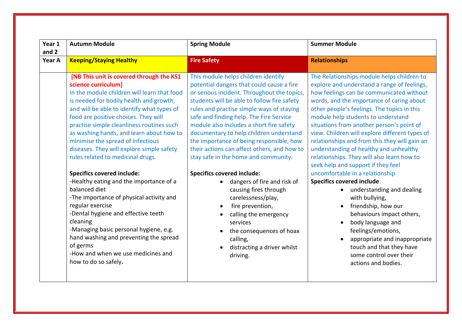| Year 1<br>and 2 | <b>Autumn Module</b>                                                                                                                                                                                                                                                                                                                                                                                                                                                                                                                                                                                                                                                                                                                                                                                                                              | <b>Spring Module</b>                                                                                                                                                                                                                                                                                                                                                                                                                                                                                                                                                                                                                                                                                                                                            | <b>Summer Module</b>                                                                                                                                                                                                                                                                                                                                                                                                                                                                                                                                                                                                                                                                                                                                                                                                                                                                       |
|-----------------|---------------------------------------------------------------------------------------------------------------------------------------------------------------------------------------------------------------------------------------------------------------------------------------------------------------------------------------------------------------------------------------------------------------------------------------------------------------------------------------------------------------------------------------------------------------------------------------------------------------------------------------------------------------------------------------------------------------------------------------------------------------------------------------------------------------------------------------------------|-----------------------------------------------------------------------------------------------------------------------------------------------------------------------------------------------------------------------------------------------------------------------------------------------------------------------------------------------------------------------------------------------------------------------------------------------------------------------------------------------------------------------------------------------------------------------------------------------------------------------------------------------------------------------------------------------------------------------------------------------------------------|--------------------------------------------------------------------------------------------------------------------------------------------------------------------------------------------------------------------------------------------------------------------------------------------------------------------------------------------------------------------------------------------------------------------------------------------------------------------------------------------------------------------------------------------------------------------------------------------------------------------------------------------------------------------------------------------------------------------------------------------------------------------------------------------------------------------------------------------------------------------------------------------|
| Year A          | <b>Keeping/Staying Healthy</b>                                                                                                                                                                                                                                                                                                                                                                                                                                                                                                                                                                                                                                                                                                                                                                                                                    | <b>Fire Safety</b>                                                                                                                                                                                                                                                                                                                                                                                                                                                                                                                                                                                                                                                                                                                                              | <b>Relationships</b>                                                                                                                                                                                                                                                                                                                                                                                                                                                                                                                                                                                                                                                                                                                                                                                                                                                                       |
|                 | [NB This unit is covered through the KS1<br>science curriculum]<br>In the module children will learn that food<br>is needed for bodily health and growth,<br>and will be able to identify what types of<br>food are positive choices. They will<br>practise simple cleanliness routines such<br>as washing hands, and learn about how to<br>minimise the spread of infectious<br>diseases. They will explore simple safety<br>rules related to medicinal drugs.<br><b>Specifics covered include:</b><br>-Healthy eating and the importance of a<br>balanced diet<br>-The importance of physical activity and<br>regular exercise<br>-Dental hygiene and effective teeth<br>cleaning<br>-Managing basic personal hygiene, e.g.<br>hand washing and preventing the spread<br>of germs<br>-How and when we use medicines and<br>how to do so safely. | This module helps children identify<br>potential dangers that could cause a fire<br>or serious incident. Throughout the topics,<br>students will be able to follow fire safety<br>rules and practise simple ways of staying<br>safe and finding help. The Fire Service<br>module also includes a short fire safety<br>documentary to help children understand<br>the importance of being responsible, how<br>their actions can affect others, and how to<br>stay safe in the home and community.<br><b>Specifics covered include:</b><br>dangers of fire and risk of<br>causing fires through<br>carelessness/play,<br>fire prevention,<br>calling the emergency<br>services<br>the consequences of hoax<br>calling,<br>distracting a driver whilst<br>driving. | The Relationships module helps children to<br>explore and understand a range of feelings,<br>how feelings can be communicated without<br>words, and the importance of caring about<br>other people's feelings. The topics in this<br>module help students to understand<br>situations from another person's point of<br>view. Children will explore different types of<br>relationships and from this they will gain an<br>understanding of healthy and unhealthy<br>relationships. They will also learn how to<br>seek help and support if they feel<br>uncomfortable in a relationship<br><b>Specifics covered include:</b><br>understanding and dealing<br>with bullying,<br>friendship, how our<br>behaviours impact others,<br>body language and<br>feelings/emotions,<br>appropriate and inappropriate<br>touch and that they have<br>some control over their<br>actions and bodies. |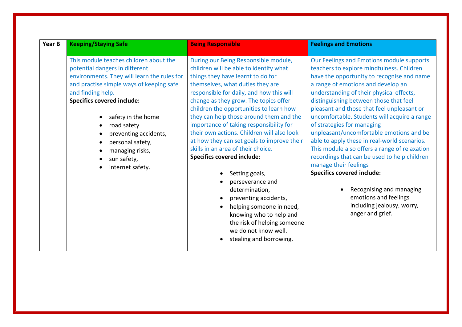| Year B | <b>Keeping/Staying Safe</b>                                                                                                                                                                                                                                                                                                                                           | <b>Being Responsible</b>                                                                                                                                                                                                                                                                                                                                                                                                                                                                                                                                                                                                                                                                                                                                                                    | <b>Feelings and Emotions</b>                                                                                                                                                                                                                                                                                                                                                                                                                                                                                                                                                                                                                                                                                                                                   |
|--------|-----------------------------------------------------------------------------------------------------------------------------------------------------------------------------------------------------------------------------------------------------------------------------------------------------------------------------------------------------------------------|---------------------------------------------------------------------------------------------------------------------------------------------------------------------------------------------------------------------------------------------------------------------------------------------------------------------------------------------------------------------------------------------------------------------------------------------------------------------------------------------------------------------------------------------------------------------------------------------------------------------------------------------------------------------------------------------------------------------------------------------------------------------------------------------|----------------------------------------------------------------------------------------------------------------------------------------------------------------------------------------------------------------------------------------------------------------------------------------------------------------------------------------------------------------------------------------------------------------------------------------------------------------------------------------------------------------------------------------------------------------------------------------------------------------------------------------------------------------------------------------------------------------------------------------------------------------|
|        | This module teaches children about the<br>potential dangers in different<br>environments. They will learn the rules for<br>and practise simple ways of keeping safe<br>and finding help.<br><b>Specifics covered include:</b><br>safety in the home<br>road safety<br>preventing accidents,<br>personal safety,<br>managing risks,<br>sun safety,<br>internet safety. | During our Being Responsible module,<br>children will be able to identify what<br>things they have learnt to do for<br>themselves, what duties they are<br>responsible for daily, and how this will<br>change as they grow. The topics offer<br>children the opportunities to learn how<br>they can help those around them and the<br>importance of taking responsibility for<br>their own actions. Children will also look<br>at how they can set goals to improve their<br>skills in an area of their choice.<br><b>Specifics covered include:</b><br>Setting goals,<br>perseverance and<br>determination,<br>preventing accidents,<br>helping someone in need,<br>$\bullet$<br>knowing who to help and<br>the risk of helping someone<br>we do not know well.<br>stealing and borrowing. | Our Feelings and Emotions module supports<br>teachers to explore mindfulness. Children<br>have the opportunity to recognise and name<br>a range of emotions and develop an<br>understanding of their physical effects,<br>distinguishing between those that feel<br>pleasant and those that feel unpleasant or<br>uncomfortable. Students will acquire a range<br>of strategies for managing<br>unpleasant/uncomfortable emotions and be<br>able to apply these in real-world scenarios.<br>This module also offers a range of relaxation<br>recordings that can be used to help children<br>manage their feelings<br><b>Specifics covered include:</b><br>Recognising and managing<br>emotions and feelings<br>including jealousy, worry,<br>anger and grief. |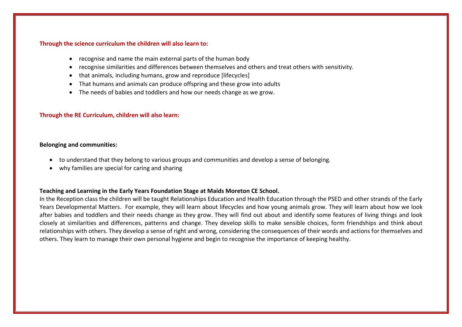#### **Through the science curriculum the children will also learn to:**

- recognise and name the main external parts of the human body
- recognise similarities and differences between themselves and others and treat others with sensitivity.
- that animals, including humans, grow and reproduce [lifecycles]
- That humans and animals can produce offspring and these grow into adults
- The needs of babies and toddlers and how our needs change as we grow.

## **Through the RE Curriculum, children will also learn:**

### **Belonging and communities:**

- to understand that they belong to various groups and communities and develop a sense of belonging.
- why families are special for caring and sharing

# **Teaching and Learning in the Early Years Foundation Stage at Maids Moreton CE School.**

In the Reception class the children will be taught Relationships Education and Health Education through the PSED and other strands of the Early Years Developmental Matters. For example, they will learn about lifecycles and how young animals grow. They will learn about how we look after babies and toddlers and their needs change as they grow. They will find out about and identify some features of living things and look closely at similarities and differences, patterns and change. They develop skills to make sensible choices, form friendships and think about relationships with others. They develop a sense of right and wrong, considering the consequences of their words and actions for themselves and others. They learn to manage their own personal hygiene and begin to recognise the importance of keeping healthy.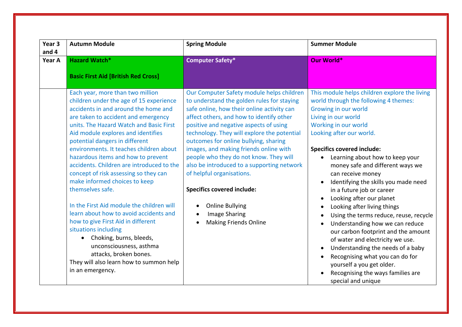| Year <sub>3</sub><br>and 4 | <b>Autumn Module</b>                                                                                                                                                                                                                                                                                                                                                                                                                                                                                                                                                                                                                                                                                                                                                                                                       | <b>Spring Module</b>                                                                                                                                                                                                                                                                                                                                                                                                                                                                                                                                                                                      | <b>Summer Module</b>                                                                                                                                                                                                                                                                                                                                                                                                                                                                                                                                                                                                                                                                                                                                         |
|----------------------------|----------------------------------------------------------------------------------------------------------------------------------------------------------------------------------------------------------------------------------------------------------------------------------------------------------------------------------------------------------------------------------------------------------------------------------------------------------------------------------------------------------------------------------------------------------------------------------------------------------------------------------------------------------------------------------------------------------------------------------------------------------------------------------------------------------------------------|-----------------------------------------------------------------------------------------------------------------------------------------------------------------------------------------------------------------------------------------------------------------------------------------------------------------------------------------------------------------------------------------------------------------------------------------------------------------------------------------------------------------------------------------------------------------------------------------------------------|--------------------------------------------------------------------------------------------------------------------------------------------------------------------------------------------------------------------------------------------------------------------------------------------------------------------------------------------------------------------------------------------------------------------------------------------------------------------------------------------------------------------------------------------------------------------------------------------------------------------------------------------------------------------------------------------------------------------------------------------------------------|
| Year A                     | <b>Hazard Watch*</b>                                                                                                                                                                                                                                                                                                                                                                                                                                                                                                                                                                                                                                                                                                                                                                                                       | <b>Computer Safety*</b>                                                                                                                                                                                                                                                                                                                                                                                                                                                                                                                                                                                   | Our World*                                                                                                                                                                                                                                                                                                                                                                                                                                                                                                                                                                                                                                                                                                                                                   |
|                            | <b>Basic First Aid [British Red Cross]</b>                                                                                                                                                                                                                                                                                                                                                                                                                                                                                                                                                                                                                                                                                                                                                                                 |                                                                                                                                                                                                                                                                                                                                                                                                                                                                                                                                                                                                           |                                                                                                                                                                                                                                                                                                                                                                                                                                                                                                                                                                                                                                                                                                                                                              |
|                            | Each year, more than two million<br>children under the age of 15 experience<br>accidents in and around the home and<br>are taken to accident and emergency<br>units. The Hazard Watch and Basic First<br>Aid module explores and identifies<br>potential dangers in different<br>environments. It teaches children about<br>hazardous items and how to prevent<br>accidents. Children are introduced to the<br>concept of risk assessing so they can<br>make informed choices to keep<br>themselves safe.<br>In the First Aid module the children will<br>learn about how to avoid accidents and<br>how to give First Aid in different<br>situations including<br>Choking, burns, bleeds,<br>$\bullet$<br>unconsciousness, asthma<br>attacks, broken bones.<br>They will also learn how to summon help<br>in an emergency. | Our Computer Safety module helps children<br>to understand the golden rules for staying<br>safe online, how their online activity can<br>affect others, and how to identify other<br>positive and negative aspects of using<br>technology. They will explore the potential<br>outcomes for online bullying, sharing<br>images, and making friends online with<br>people who they do not know. They will<br>also be introduced to a supporting network<br>of helpful organisations.<br><b>Specifics covered include:</b><br><b>Online Bullying</b><br><b>Image Sharing</b><br><b>Making Friends Online</b> | This module helps children explore the living<br>world through the following 4 themes:<br>Growing in our world<br>Living in our world<br>Working in our world<br>Looking after our world.<br><b>Specifics covered include:</b><br>Learning about how to keep your<br>money safe and different ways we<br>can receive money<br>Identifying the skills you made need<br>in a future job or career<br>Looking after our planet<br>Looking after living things<br>Using the terms reduce, reuse, recycle<br>Understanding how we can reduce<br>our carbon footprint and the amount<br>of water and electricity we use.<br>Understanding the needs of a baby<br>Recognising what you can do for<br>yourself a you get older.<br>Recognising the ways families are |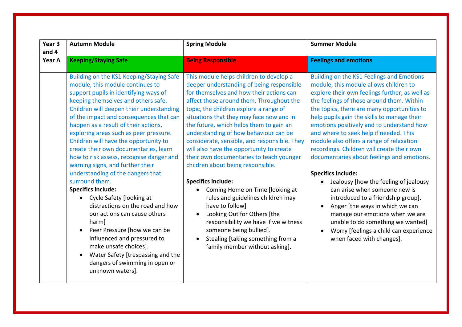| Year <sub>3</sub><br>and 4 | <b>Autumn Module</b>                                                                                                                                                                                                                                                                                                                                                                                                                                                                                                                                                                                                                                                                                                                                                                                                                                                                                   | <b>Spring Module</b>                                                                                                                                                                                                                                                                                                                                                                                                                                                                                                                                                                                                                                                                                                                                                                                                                              | <b>Summer Module</b>                                                                                                                                                                                                                                                                                                                                                                                                                                                                                                                                                                                                                                                                                                                                                                                                                           |
|----------------------------|--------------------------------------------------------------------------------------------------------------------------------------------------------------------------------------------------------------------------------------------------------------------------------------------------------------------------------------------------------------------------------------------------------------------------------------------------------------------------------------------------------------------------------------------------------------------------------------------------------------------------------------------------------------------------------------------------------------------------------------------------------------------------------------------------------------------------------------------------------------------------------------------------------|---------------------------------------------------------------------------------------------------------------------------------------------------------------------------------------------------------------------------------------------------------------------------------------------------------------------------------------------------------------------------------------------------------------------------------------------------------------------------------------------------------------------------------------------------------------------------------------------------------------------------------------------------------------------------------------------------------------------------------------------------------------------------------------------------------------------------------------------------|------------------------------------------------------------------------------------------------------------------------------------------------------------------------------------------------------------------------------------------------------------------------------------------------------------------------------------------------------------------------------------------------------------------------------------------------------------------------------------------------------------------------------------------------------------------------------------------------------------------------------------------------------------------------------------------------------------------------------------------------------------------------------------------------------------------------------------------------|
| Year A                     | <b>Keeping/Staying Safe</b>                                                                                                                                                                                                                                                                                                                                                                                                                                                                                                                                                                                                                                                                                                                                                                                                                                                                            | <b>Being Responsible</b>                                                                                                                                                                                                                                                                                                                                                                                                                                                                                                                                                                                                                                                                                                                                                                                                                          | <b>Feelings and emotions</b>                                                                                                                                                                                                                                                                                                                                                                                                                                                                                                                                                                                                                                                                                                                                                                                                                   |
|                            | Building on the KS1 Keeping/Staying Safe<br>module, this module continues to<br>support pupils in identifying ways of<br>keeping themselves and others safe.<br>Children will deepen their understanding<br>of the impact and consequences that can<br>happen as a result of their actions,<br>exploring areas such as peer pressure.<br>Children will have the opportunity to<br>create their own documentaries, learn<br>how to risk assess, recognise danger and<br>warning signs, and further their<br>understanding of the dangers that<br>surround them.<br><b>Specifics include:</b><br>• Cycle Safety [looking at<br>distractions on the road and how<br>our actions can cause others<br>harm]<br>Peer Pressure [how we can be<br>influenced and pressured to<br>make unsafe choices].<br>Water Safety [trespassing and the<br>$\bullet$<br>dangers of swimming in open or<br>unknown waters]. | This module helps children to develop a<br>deeper understanding of being responsible<br>for themselves and how their actions can<br>affect those around them. Throughout the<br>topic, the children explore a range of<br>situations that they may face now and in<br>the future, which helps them to gain an<br>understanding of how behaviour can be<br>considerate, sensible, and responsible. They<br>will also have the opportunity to create<br>their own documentaries to teach younger<br>children about being responsible.<br><b>Specifics include:</b><br>Coming Home on Time [looking at<br>rules and guidelines children may<br>have to follow]<br>Looking Out for Others [the<br>$\bullet$<br>responsibility we have if we witness<br>someone being bullied].<br>Stealing [taking something from a<br>family member without asking]. | Building on the KS1 Feelings and Emotions<br>module, this module allows children to<br>explore their own feelings further, as well as<br>the feelings of those around them. Within<br>the topics, there are many opportunities to<br>help pupils gain the skills to manage their<br>emotions positively and to understand how<br>and where to seek help if needed. This<br>module also offers a range of relaxation<br>recordings. Children will create their own<br>documentaries about feelings and emotions.<br><b>Specifics include:</b><br>Jealousy [how the feeling of jealousy<br>can arise when someone new is<br>introduced to a friendship group].<br>Anger [the ways in which we can<br>manage our emotions when we are<br>unable to do something we wanted]<br>Worry [feelings a child can experience<br>when faced with changes]. |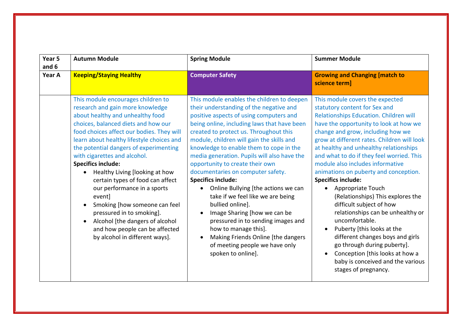| Year 5<br>and 6 | <b>Autumn Module</b>                                                                                                                                                                                                                                                                                                                                                                                                                                                                                                                                                                                                                                | <b>Spring Module</b>                                                                                                                                                                                                                                                                                                                                                                                                                                                                                                                                                                                                                                                                                                                                              | <b>Summer Module</b>                                                                                                                                                                                                                                                                                                                                                                                                                                                                                                                                                                                                                                                                                                                                                                    |
|-----------------|-----------------------------------------------------------------------------------------------------------------------------------------------------------------------------------------------------------------------------------------------------------------------------------------------------------------------------------------------------------------------------------------------------------------------------------------------------------------------------------------------------------------------------------------------------------------------------------------------------------------------------------------------------|-------------------------------------------------------------------------------------------------------------------------------------------------------------------------------------------------------------------------------------------------------------------------------------------------------------------------------------------------------------------------------------------------------------------------------------------------------------------------------------------------------------------------------------------------------------------------------------------------------------------------------------------------------------------------------------------------------------------------------------------------------------------|-----------------------------------------------------------------------------------------------------------------------------------------------------------------------------------------------------------------------------------------------------------------------------------------------------------------------------------------------------------------------------------------------------------------------------------------------------------------------------------------------------------------------------------------------------------------------------------------------------------------------------------------------------------------------------------------------------------------------------------------------------------------------------------------|
| Year A          | <b>Keeping/Staying Healthy</b>                                                                                                                                                                                                                                                                                                                                                                                                                                                                                                                                                                                                                      | <b>Computer Safety</b>                                                                                                                                                                                                                                                                                                                                                                                                                                                                                                                                                                                                                                                                                                                                            | <b>Growing and Changing [match to</b><br>science term]                                                                                                                                                                                                                                                                                                                                                                                                                                                                                                                                                                                                                                                                                                                                  |
|                 | This module encourages children to<br>research and gain more knowledge<br>about healthy and unhealthy food<br>choices, balanced diets and how our<br>food choices affect our bodies. They will<br>learn about healthy lifestyle choices and<br>the potential dangers of experimenting<br>with cigarettes and alcohol.<br><b>Specifics include:</b><br>Healthy Living [looking at how<br>certain types of food can affect<br>our performance in a sports<br>event]<br>Smoking [how someone can feel<br>$\bullet$<br>pressured in to smoking].<br>Alcohol [the dangers of alcohol<br>and how people can be affected<br>by alcohol in different ways]. | This module enables the children to deepen<br>their understanding of the negative and<br>positive aspects of using computers and<br>being online, including laws that have been<br>created to protect us. Throughout this<br>module, children will gain the skills and<br>knowledge to enable them to cope in the<br>media generation. Pupils will also have the<br>opportunity to create their own<br>documentaries on computer safety.<br><b>Specifics include:</b><br>Online Bullying [the actions we can<br>take if we feel like we are being<br>bullied online].<br>Image Sharing [how we can be<br>pressured in to sending images and<br>how to manage this].<br>Making Friends Online [the dangers<br>of meeting people we have only<br>spoken to online]. | This module covers the expected<br>statutory content for Sex and<br>Relationships Education. Children will<br>have the opportunity to look at how we<br>change and grow, including how we<br>grow at different rates. Children will look<br>at healthy and unhealthy relationships<br>and what to do if they feel worried. This<br>module also includes informative<br>animations on puberty and conception.<br><b>Specifics include:</b><br>Appropriate Touch<br>(Relationships) This explores the<br>difficult subject of how<br>relationships can be unhealthy or<br>uncomfortable.<br>Puberty [this looks at the<br>different changes boys and girls<br>go through during puberty].<br>Conception [this looks at how a<br>baby is conceived and the various<br>stages of pregnancy. |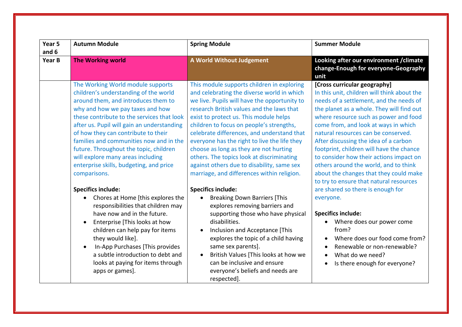| Year 5<br>and 6 | <b>Autumn Module</b>                                                                                                                                                                                                                                                                                                                                                                                                                                                                                                                                                                                                                                                                                                                                                                                                                                                    | <b>Spring Module</b>                                                                                                                                                                                                                                                                                                                                                                                                                                                                                                                                                                                                                                                                                                                                                                                                                                                                                                                              | <b>Summer Module</b>                                                                                                                                                                                                                                                                                                                                                                                                                                                                                                                                                                                                                                                                                                                                                                                 |
|-----------------|-------------------------------------------------------------------------------------------------------------------------------------------------------------------------------------------------------------------------------------------------------------------------------------------------------------------------------------------------------------------------------------------------------------------------------------------------------------------------------------------------------------------------------------------------------------------------------------------------------------------------------------------------------------------------------------------------------------------------------------------------------------------------------------------------------------------------------------------------------------------------|---------------------------------------------------------------------------------------------------------------------------------------------------------------------------------------------------------------------------------------------------------------------------------------------------------------------------------------------------------------------------------------------------------------------------------------------------------------------------------------------------------------------------------------------------------------------------------------------------------------------------------------------------------------------------------------------------------------------------------------------------------------------------------------------------------------------------------------------------------------------------------------------------------------------------------------------------|------------------------------------------------------------------------------------------------------------------------------------------------------------------------------------------------------------------------------------------------------------------------------------------------------------------------------------------------------------------------------------------------------------------------------------------------------------------------------------------------------------------------------------------------------------------------------------------------------------------------------------------------------------------------------------------------------------------------------------------------------------------------------------------------------|
| Year B          | <b>The Working world</b>                                                                                                                                                                                                                                                                                                                                                                                                                                                                                                                                                                                                                                                                                                                                                                                                                                                | A World Without Judgement                                                                                                                                                                                                                                                                                                                                                                                                                                                                                                                                                                                                                                                                                                                                                                                                                                                                                                                         | Looking after our environment / climate<br>change-Enough for everyone-Geography<br>unit                                                                                                                                                                                                                                                                                                                                                                                                                                                                                                                                                                                                                                                                                                              |
|                 | The Working World module supports<br>children's understanding of the world<br>around them, and introduces them to<br>why and how we pay taxes and how<br>these contribute to the services that look<br>after us. Pupil will gain an understanding<br>of how they can contribute to their<br>families and communities now and in the<br>future. Throughout the topic, children<br>will explore many areas including<br>enterprise skills, budgeting, and price<br>comparisons.<br><b>Specifics include:</b><br>Chores at Home [this explores the<br>$\bullet$<br>responsibilities that children may<br>have now and in the future.<br>Enterprise [This looks at how<br>children can help pay for items<br>they would like].<br>In-App Purchases [This provides<br>$\bullet$<br>a subtle introduction to debt and<br>looks at paying for items through<br>apps or games]. | This module supports children in exploring<br>and celebrating the diverse world in which<br>we live. Pupils will have the opportunity to<br>research British values and the laws that<br>exist to protect us. This module helps<br>children to focus on people's strengths,<br>celebrate differences, and understand that<br>everyone has the right to live the life they<br>choose as long as they are not hurting<br>others. The topics look at discriminating<br>against others due to disability, same sex<br>marriage, and differences within religion.<br><b>Specifics include:</b><br><b>Breaking Down Barriers [This</b><br>explores removing barriers and<br>supporting those who have physical<br>disabilities.<br>Inclusion and Acceptance [This<br>$\bullet$<br>explores the topic of a child having<br>same sex parents].<br>British Values [This looks at how we<br>can be inclusive and ensure<br>everyone's beliefs and needs are | [Cross curricular geography]<br>In this unit, children will think about the<br>needs of a settlement, and the needs of<br>the planet as a whole. They will find out<br>where resource such as power and food<br>come from, and look at ways in which<br>natural resources can be conserved.<br>After discussing the idea of a carbon<br>footprint, children will have the chance<br>to consider how their actions impact on<br>others around the world, and to think<br>about the changes that they could make<br>to try to ensure that natural resources<br>are shared so there is enough for<br>everyone.<br><b>Specifics include:</b><br>Where does our power come<br>from?<br>Where does our food come from?<br>Renewable or non-renewable?<br>What do we need?<br>Is there enough for everyone? |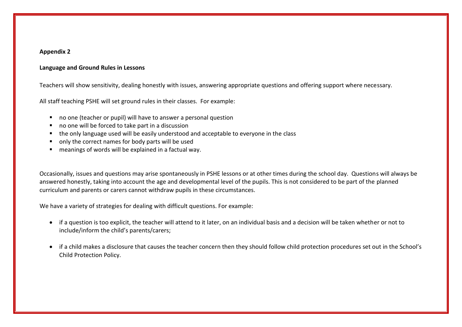#### **Appendix 2**

#### **Language and Ground Rules in Lessons**

Teachers will show sensitivity, dealing honestly with issues, answering appropriate questions and offering support where necessary.

All staff teaching PSHE will set ground rules in their classes. For example:

- no one (teacher or pupil) will have to answer a personal question
- no one will be forced to take part in a discussion
- the only language used will be easily understood and acceptable to everyone in the class
- only the correct names for body parts will be used
- meanings of words will be explained in a factual way.

Occasionally, issues and questions may arise spontaneously in PSHE lessons or at other times during the school day. Questions will always be answered honestly, taking into account the age and developmental level of the pupils. This is not considered to be part of the planned curriculum and parents or carers cannot withdraw pupils in these circumstances.

We have a variety of strategies for dealing with difficult questions. For example:

- if a question is too explicit, the teacher will attend to it later, on an individual basis and a decision will be taken whether or not to include/inform the child's parents/carers;
- if a child makes a disclosure that causes the teacher concern then they should follow child protection procedures set out in the School's Child Protection Policy.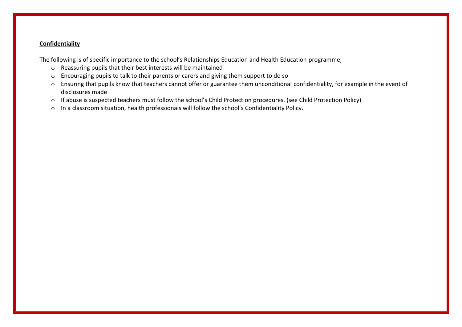# **Confidentiality**

The following is of specific importance to the school's Relationships Education and Health Education programme;

- o Reassuring pupils that their best interests will be maintained
- o Encouraging pupils to talk to their parents or carers and giving them support to do so
- o Ensuring that pupils know that teachers cannot offer or guarantee them unconditional confidentiality, for example in the event of disclosures made
- o If abuse is suspected teachers must follow the school's Child Protection procedures. (see Child Protection Policy)
- o In a classroom situation, health professionals will follow the school's Confidentiality Policy.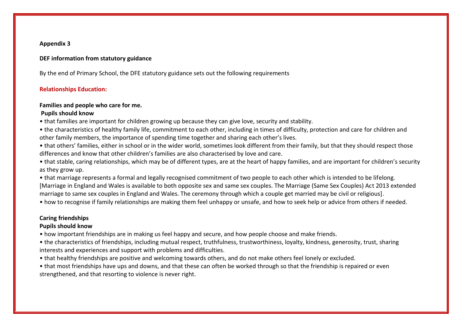#### **Appendix 3**

#### **DEF information from statutory guidance**

By the end of Primary School, the DFE statutory guidance sets out the following requirements

### **Relationships Education:**

#### **Families and people who care for me.**

#### **Pupils should know**

• that families are important for children growing up because they can give love, security and stability.

• the characteristics of healthy family life, commitment to each other, including in times of difficulty, protection and care for children and other family members, the importance of spending time together and sharing each other's lives.

• that others' families, either in school or in the wider world, sometimes look different from their family, but that they should respect those differences and know that other children's families are also characterised by love and care.

• that stable, caring relationships, which may be of different types, are at the heart of happy families, and are important for children's security as they grow up.

• that marriage represents a formal and legally recognised commitment of two people to each other which is intended to be lifelong. [Marriage in England and Wales is available to both opposite sex and same sex couples. The Marriage (Same Sex Couples) Act 2013 extended marriage to same sex couples in England and Wales. The ceremony through which a couple get married may be civil or religious].

• how to recognise if family relationships are making them feel unhappy or unsafe, and how to seek help or advice from others if needed.

# **Caring friendships**

# **Pupils should know**

• how important friendships are in making us feel happy and secure, and how people choose and make friends.

• the characteristics of friendships, including mutual respect, truthfulness, trustworthiness, loyalty, kindness, generosity, trust, sharing interests and experiences and support with problems and difficulties.

• that healthy friendships are positive and welcoming towards others, and do not make others feel lonely or excluded.

• that most friendships have ups and downs, and that these can often be worked through so that the friendship is repaired or even strengthened, and that resorting to violence is never right.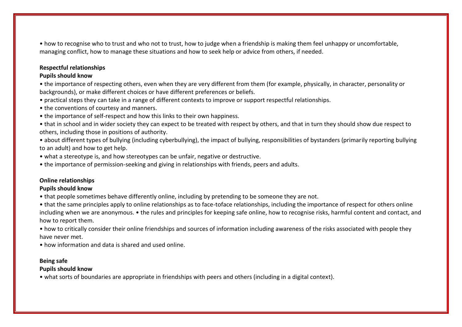• how to recognise who to trust and who not to trust, how to judge when a friendship is making them feel unhappy or uncomfortable, managing conflict, how to manage these situations and how to seek help or advice from others, if needed.

# **Respectful relationships**

# **Pupils should know**

• the importance of respecting others, even when they are very different from them (for example, physically, in character, personality or backgrounds), or make different choices or have different preferences or beliefs.

- practical steps they can take in a range of different contexts to improve or support respectful relationships.
- the conventions of courtesy and manners.
- the importance of self-respect and how this links to their own happiness.
- that in school and in wider society they can expect to be treated with respect by others, and that in turn they should show due respect to others, including those in positions of authority.
- about different types of bullying (including cyberbullying), the impact of bullying, responsibilities of bystanders (primarily reporting bullying to an adult) and how to get help.
- what a stereotype is, and how stereotypes can be unfair, negative or destructive.
- the importance of permission-seeking and giving in relationships with friends, peers and adults.

# **Online relationships**

# **Pupils should know**

- that people sometimes behave differently online, including by pretending to be someone they are not.
- that the same principles apply to online relationships as to face-toface relationships, including the importance of respect for others online including when we are anonymous. • the rules and principles for keeping safe online, how to recognise risks, harmful content and contact, and how to report them.

• how to critically consider their online friendships and sources of information including awareness of the risks associated with people they have never met.

• how information and data is shared and used online.

# **Being safe**

# **Pupils should know**

• what sorts of boundaries are appropriate in friendships with peers and others (including in a digital context).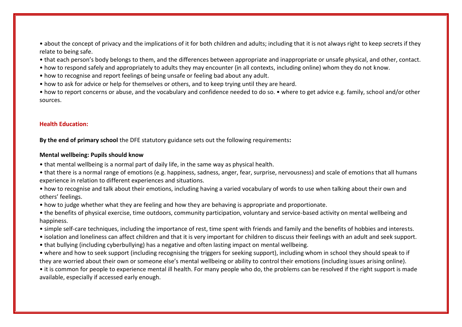• about the concept of privacy and the implications of it for both children and adults; including that it is not always right to keep secrets if they relate to being safe.

- that each person's body belongs to them, and the differences between appropriate and inappropriate or unsafe physical, and other, contact.
- how to respond safely and appropriately to adults they may encounter (in all contexts, including online) whom they do not know.
- how to recognise and report feelings of being unsafe or feeling bad about any adult.
- how to ask for advice or help for themselves or others, and to keep trying until they are heard.

• how to report concerns or abuse, and the vocabulary and confidence needed to do so. • where to get advice e.g. family, school and/or other sources.

# **Health Education:**

**By the end of primary school** the DFE statutory guidance sets out the following requirements**:**

# **Mental wellbeing: Pupils should know**

- that mental wellbeing is a normal part of daily life, in the same way as physical health.
- that there is a normal range of emotions (e.g. happiness, sadness, anger, fear, surprise, nervousness) and scale of emotions that all humans experience in relation to different experiences and situations.
- how to recognise and talk about their emotions, including having a varied vocabulary of words to use when talking about their own and others' feelings.
- how to judge whether what they are feeling and how they are behaving is appropriate and proportionate.
- the benefits of physical exercise, time outdoors, community participation, voluntary and service-based activity on mental wellbeing and happiness.
- simple self-care techniques, including the importance of rest, time spent with friends and family and the benefits of hobbies and interests.
- isolation and loneliness can affect children and that it is very important for children to discuss their feelings with an adult and seek support.
- that bullying (including cyberbullying) has a negative and often lasting impact on mental wellbeing.
- where and how to seek support (including recognising the triggers for seeking support), including whom in school they should speak to if they are worried about their own or someone else's mental wellbeing or ability to control their emotions (including issues arising online).

• it is common for people to experience mental ill health. For many people who do, the problems can be resolved if the right support is made available, especially if accessed early enough.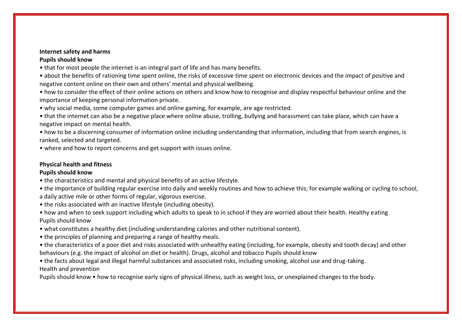### **Internet safety and harms Pupils should know**

• that for most people the internet is an integral part of life and has many benefits.

• about the benefits of rationing time spent online, the risks of excessive time spent on electronic devices and the impact of positive and negative content online on their own and others' mental and physical wellbeing.

• how to consider the effect of their online actions on others and know how to recognise and display respectful behaviour online and the importance of keeping personal information private.

• why social media, some computer games and online gaming, for example, are age restricted.

• that the internet can also be a negative place where online abuse, trolling, bullying and harassment can take place, which can have a negative impact on mental health.

• how to be a discerning consumer of information online including understanding that information, including that from search engines, is ranked, selected and targeted.

• where and how to report concerns and get support with issues online.

# **Physical health and fitness**

# **Pupils should know**

• the characteristics and mental and physical benefits of an active lifestyle.

- the importance of building regular exercise into daily and weekly routines and how to achieve this; for example walking or cycling to school, a daily active mile or other forms of regular, vigorous exercise.
- the risks associated with an inactive lifestyle (including obesity).

• how and when to seek support including which adults to speak to in school if they are worried about their health. Healthy eating Pupils should know

- what constitutes a healthy diet (including understanding calories and other nutritional content).
- the principles of planning and preparing a range of healthy meals.
- the characteristics of a poor diet and risks associated with unhealthy eating (including, for example, obesity and tooth decay) and other behaviours (e.g. the impact of alcohol on diet or health). Drugs, alcohol and tobacco Pupils should know

• the facts about legal and illegal harmful substances and associated risks, including smoking, alcohol use and drug-taking. Health and prevention

Pupils should know • how to recognise early signs of physical illness, such as weight loss, or unexplained changes to the body.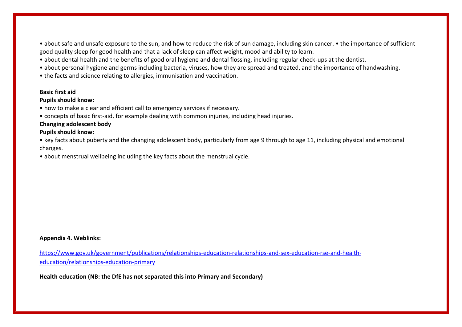• about safe and unsafe exposure to the sun, and how to reduce the risk of sun damage, including skin cancer. • the importance of sufficient good quality sleep for good health and that a lack of sleep can affect weight, mood and ability to learn.

- about dental health and the benefits of good oral hygiene and dental flossing, including regular check-ups at the dentist.
- about personal hygiene and germs including bacteria, viruses, how they are spread and treated, and the importance of handwashing.
- the facts and science relating to allergies, immunisation and vaccination.

# **Basic first aid**

# **Pupils should know:**

- how to make a clear and efficient call to emergency services if necessary.
- concepts of basic first-aid, for example dealing with common injuries, including head injuries.

# **Changing adolescent body**

# **Pupils should know:**

- key facts about puberty and the changing adolescent body, particularly from age 9 through to age 11, including physical and emotional changes.
- about menstrual wellbeing including the key facts about the menstrual cycle.

# **Appendix 4. Weblinks:**

[https://www.gov.uk/government/publications/relationships-education-relationships-and-sex-education-rse-and-health](https://www.gov.uk/government/publications/relationships-education-relationships-and-sex-education-rse-and-health-education/relationships-education-primary)[education/relationships-education-primary](https://www.gov.uk/government/publications/relationships-education-relationships-and-sex-education-rse-and-health-education/relationships-education-primary)

**Health education (NB: the DfE has not separated this into Primary and Secondary)**